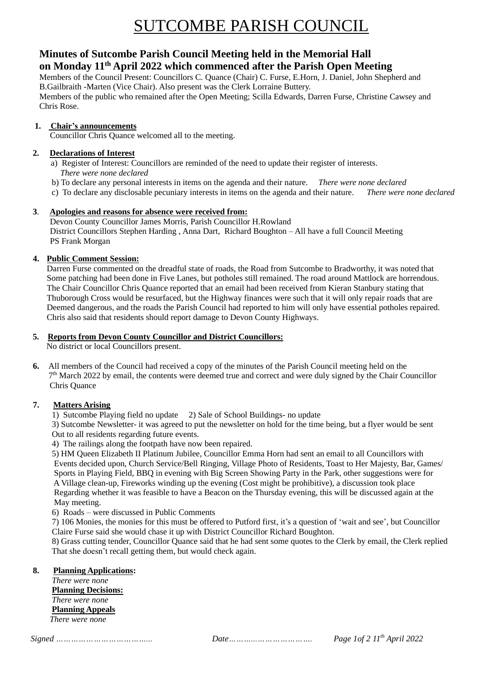# SUTCOMBE PARISH COUNCIL

# **Minutes of Sutcombe Parish Council Meeting held in the Memorial Hall on Monday 11th April 2022 which commenced after the Parish Open Meeting**

Members of the Council Present: Councillors C. Quance (Chair) C. Furse, E.Horn, J. Daniel, John Shepherd and B.Gailbraith -Marten (Vice Chair). Also present was the Clerk Lorraine Buttery. Members of the public who remained after the Open Meeting; Scilla Edwards, Darren Furse, Christine Cawsey and Chris Rose.

## **1. Chair's announcements**

Councillor Chris Quance welcomed all to the meeting.

## **2. Declarations of Interest**

 a) Register of Interest: Councillors are reminded of the need to update their register of interests.  *There were none declared*

- b) To declare any personal interests in items on the agenda and their nature. *There were none declared*
- c) To declare any disclosable pecuniary interests in items on the agenda and their nature. *There were none declared*

# **3**.**Apologies and reasons for absence were received from:**

 Devon County Councillor James Morris, Parish Councillor H.Rowland District Councillors Stephen Harding , Anna Dart, Richard Boughton – All have a full Council Meeting PS Frank Morgan

# **4. Public Comment Session:**

Darren Furse commented on the dreadful state of roads, the Road from Sutcombe to Bradworthy, it was noted that Some patching had been done in Five Lanes, but potholes still remained. The road around Mattlock are horrendous. The Chair Councillor Chris Quance reported that an email had been received from Kieran Stanbury stating that Thuborough Cross would be resurfaced, but the Highway finances were such that it will only repair roads that are Deemed dangerous, and the roads the Parish Council had reported to him will only have essential potholes repaired. Chris also said that residents should report damage to Devon County Highways.

#### **5. Reports from Devon County Councillor and District Councillors:**

No district or local Councillors present.

**6.** All members of the Council had received a copy of the minutes of the Parish Council meeting held on the 7<sup>th</sup> March 2022 by email, the contents were deemed true and correct and were duly signed by the Chair Councillor Chris Quance

#### **7. Matters Arising**

1) Sutcombe Playing field no update 2) Sale of School Buildings- no update

 3) Sutcombe Newsletter- it was agreed to put the newsletter on hold for the time being, but a flyer would be sent Out to all residents regarding future events.

4) The railings along the footpath have now been repaired.

 5) HM Queen Elizabeth II Platinum Jubilee, Councillor Emma Horn had sent an email to all Councillors with Events decided upon, Church Service/Bell Ringing, Village Photo of Residents, Toast to Her Majesty, Bar, Games/ Sports in Playing Field, BBQ in evening with Big Screen Showing Party in the Park, other suggestions were for A Village clean-up, Fireworks winding up the evening (Cost might be prohibitive), a discussion took place Regarding whether it was feasible to have a Beacon on the Thursday evening, this will be discussed again at the May meeting.

6) Roads – were discussed in Public Comments

 7) 106 Monies, the monies for this must be offered to Putford first, it's a question of 'wait and see', but Councillor Claire Furse said she would chase it up with District Councillor Richard Boughton.

 8) Grass cutting tender, Councillor Quance said that he had sent some quotes to the Clerk by email, the Clerk replied That she doesn't recall getting them, but would check again.

#### **8. Planning Applications:**

 *There were none* **Planning Decisions:** *There were none*  **Planning Appeals**  *There were none*

*Signed ………………………………... Date………...…………………. Page 1of 2 11th April 2022*